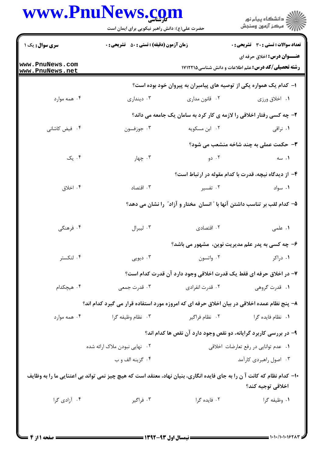## $D_{max}N$  $-1$

| <b>سری سوال :</b> یک ۱             | <b>زمان آزمون (دقیقه) : تستی : 50 ٪ تشریحی : 0</b>                                                                     |                                      | <b>تعداد سوالات : تستي : 30 - تشريحي : 0</b>                                                     |
|------------------------------------|------------------------------------------------------------------------------------------------------------------------|--------------------------------------|--------------------------------------------------------------------------------------------------|
| www.PnuNews.com<br>www.PnuNews.net |                                                                                                                        |                                      | <b>عنـــوان درس:</b> اخلاق حرفه ای<br><b>رشته تحصیلی/کد درس:</b> علم اطلاعات و دانش شناسی1۷۱۲۲۱۵ |
|                                    |                                                                                                                        |                                      | ا– کدام یک همواره یکی از توصیه های پیامبران به پیروان خود بوده است؟                              |
| ۰۴ همه موارد                       | ۰۳ دینداری                                                                                                             | ۰۲ قانون مداری                       | ۰۱ اخلاق ورزي                                                                                    |
|                                    |                                                                                                                        |                                      | ۲- چه کسی رفتار اخلاقی را لازمه ی کار کرد به سامان یک جامعه می داند؟                             |
| ۰۴ فیض کاشانی                      | ۰۳ جوزفسون                                                                                                             | ۰۲ ابن مسکویه                        | ۰۱ نراقی                                                                                         |
|                                    |                                                                                                                        |                                      | <b>۳</b> - حکمت عملی به چند شاخه منشعب می شود؟                                                   |
| ۰۴ یک                              | ۰۳ چهار                                                                                                                | ۰۲ دو                                | ۰۱ سه                                                                                            |
|                                    |                                                                                                                        |                                      | ۴- از دیدگاه نیچه، قدرت با کدام مقوله در ارتباط است؟                                             |
| ۰۴ اخلاق                           | ۰۳ اقتصاد                                                                                                              | ۰۲ تفسیر                             | ۰۱ سواد                                                                                          |
|                                    |                                                                                                                        |                                      | ۵– کدام لقب بر تناسب داشتن آنها با " انسان ًمختار و آزاد" را نشان می دهد؟                        |
| ۰۴ فرهنگی                          | ۰۳ ليبرال                                                                                                              | ۰۲ اقتصادی                           | ٠١ علمى                                                                                          |
|                                    |                                                                                                                        |                                      | ۶- چه کسی به پدر علم مدیریت نوین، مشهور می باشد؟                                                 |
| ۰۴ لنكستر                          | ۰۳ دیویی                                                                                                               | ۰۲ واتسون                            | ۰۱ دراکر                                                                                         |
|                                    |                                                                                                                        |                                      | ٧- در اخلاق حرفه ای فقط یک قدرت اخلاقی وجود دارد آن قدرت کدام است؟                               |
| ۰۴ هیچکدام                         | ۰۳ قدرت جمعی                                                                                                           | ۰۲ قدرت انفرادی                      | ۰۱ قدرت گروهی                                                                                    |
|                                    | ۸– پنج نظام عمده اخلاقی در بیان اخلاق حرفه ای که امروزه مورد استفاده قرار می گیرد کدام اند؟                            |                                      |                                                                                                  |
| ۰۴ همه موارد                       | ۰۳ نظام وظيفه گرا                                                                                                      | ۰۲ نظام فراگير                       | ۰۱ نظام فايده گرا                                                                                |
|                                    |                                                                                                                        |                                      | ۹- در بررسی کاربرد گرایانه، دو نقص وجود دارد آن نقص ها کدام اند؟                                 |
| ۰۲ نهایی نبودن ملاک ارائه شده      |                                                                                                                        | ۰۱ عدم توانایی در رفع تعارضات اخلاقی |                                                                                                  |
|                                    | ۰۴ گزينه الف و ب                                                                                                       |                                      | ۰۳ اصول راهبردی کارآمد                                                                           |
|                                    | ∙ا− کدام نظام که کانت آ ن را به جای فایده انگاری، بنیان نهاد، معتقد است که هیچ چیز نمی تواند بی اعتنایی ما را به وظایف |                                      |                                                                                                  |
|                                    |                                                                                                                        |                                      | اخلاقي توجيه كند؟                                                                                |
| ۰۴ آزادی گرا                       | ۰۳ فراگير                                                                                                              | ۰۲ فایده گرا                         | ٠١. وظيفه گرا                                                                                    |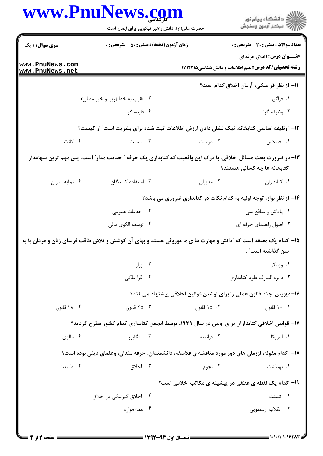|                                    | www.PnuNews.com<br>حضرت علی(ع): دانش راهبر نیکویی برای ایمان است                                               |             | ِ<br>∭ دانشڪاه پيام نور<br>∭ مرڪز آزمون وسنڊش                                                    |  |
|------------------------------------|----------------------------------------------------------------------------------------------------------------|-------------|--------------------------------------------------------------------------------------------------|--|
| <b>سری سوال : ۱ یک</b>             | <b>زمان آزمون (دقیقه) : تستی : 50 ٪ تشریحی : 0</b>                                                             |             | <b>تعداد سوالات : تستی : 30 ٪ تشریحی : 0</b>                                                     |  |
| www.PnuNews.com<br>www.PnuNews.net |                                                                                                                |             | <b>عنـــوان درس:</b> اخلاق حرفه ای<br><b>رشته تحصیلی/کد درس:</b> علم اطلاعات و دانش شناسی1۷۱۲۲۱۵ |  |
|                                    |                                                                                                                |             | 11- از نظر قراملکی، آرمان اخلاق کدام است؟                                                        |  |
|                                    | ۰۲ تقرب به خدا (زيبا و خير مطلق)                                                                               |             | ۱. فراگیر                                                                                        |  |
|                                    | ۰۴ فایده گرا                                                                                                   |             | ۰۳ وظيفه گرا                                                                                     |  |
|                                    | ۱۲- ″وظیفه اساسی کتابخانه، نیک نشان دادن ارزش اطلاعات ثبت شده برای بشریت است″ از کیست؟                         |             |                                                                                                  |  |
| ۰۴ کانت                            | ۰۳ اسمیت                                                                                                       | ۰۲ دومنت    | ٠١. فينكس                                                                                        |  |
|                                    | ۱۳– در ضرورت بحث مسائل اخلاقی، با درک این واقعیت که کتابداری یک حرفه ″ خدمت مدار″ است، پس مهم ترین سهامدار     |             | کتابخانه ها چه کسانی هستند؟                                                                      |  |
| ۰۴ نمايه سازان                     | ۰۳ استفاده کنندگان                                                                                             | ۰۲ مديران   | ٠١ كتابداران                                                                                     |  |
|                                    |                                                                                                                |             | ۱۴- از نظر بواز، توجه اولیه به کدام نکات در کتابداری ضروری می باشد؟                              |  |
|                                    | ۰۲ خدمات عمومی                                                                                                 |             | ۰۱ پاداش و منافع ملي                                                                             |  |
|                                    | ۰۴ توسعه الگوي مالي                                                                                            |             | ۰۳ اصول راهنمای حرفه ای                                                                          |  |
|                                    | ۱۵– کدام یک معتقد است که "دانش و مهارت ها ی ما موروثی هستد و بهای آن کوشش و تلاش طاقت فرسای زنان و مردان پا به |             | سن گذاشته است" .                                                                                 |  |
|                                    | ۰۲ بواز                                                                                                        |             | ٠١ ويتاكر                                                                                        |  |
|                                    | ۰۴ قراملکی                                                                                                     |             | ۰۳ دایره المارف علوم کتابداری                                                                    |  |
|                                    |                                                                                                                |             | ۱۶–دیویس، چند قانون عملی را برای نوشتن قوانین اخلاقی پیشنهاد می کند؟                             |  |
| ۰۴ ۱۸ قانون                        | ۰۳ قانون                                                                                                       | ۰۲ ۱۵ قانون | ۰۱ ۱۰ قانون                                                                                      |  |
|                                    | ۱۷– قوانین اخلاقی کتابداران برای اولین در سال ۱۹۳۹، توسط انجمن کتابداری کدام کشور مطرح گردید؟                  |             |                                                                                                  |  |
| ۰۴ مالزی                           | ۰۳ سنگايور                                                                                                     | ۰۲ فرانسه   | ۰۱ آمریکا                                                                                        |  |
|                                    | ۱۸− کدام مقوله، اززمان های دور مورد مناقشه ی فلاسفه، دانشمندان، حرفه مندان، وعلمای دینی بوده است؟              |             |                                                                                                  |  |
| ۰۴ طبیعت                           | ۰۳ اخلاق                                                                                                       | ۰۲ نجوم     | ۰۱ بهداشت                                                                                        |  |
|                                    |                                                                                                                |             | ۱۹- کدام یک نقطه ی عطفی در پیشینه ی مکاتب اخلاقی است؟                                            |  |
|                                    | ۰۲ اخلاق کپرنیکی در اخلاق                                                                                      |             | ۰۱ تشتت                                                                                          |  |
|                                    | ۰۴ همه موارد                                                                                                   |             | ۰۳ انقلاب ارسطویی                                                                                |  |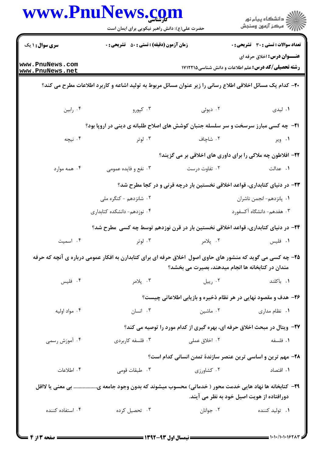|                                    | www.PnuNews.com<br>حضرت علی(ع): دانش راهبر نیکویی برای ایمان است                                           |               | ر<br>ران دانشگاه پيام نور<br>ران مرکز آزمون وسنڊش                                                |  |
|------------------------------------|------------------------------------------------------------------------------------------------------------|---------------|--------------------------------------------------------------------------------------------------|--|
| <b>سری سوال : ۱ یک</b>             | <b>زمان آزمون (دقیقه) : تستی : 50 ٪ تشریحی : 0</b>                                                         |               | <b>تعداد سوالات : تستی : 30 ٪ تشریحی : 0</b>                                                     |  |
| www.PnuNews.com<br>www.PnuNews.net |                                                                                                            |               | <b>عنـــوان درس:</b> اخلاق حرفه ای<br><b>رشته تحصیلی/کد درس:</b> علم اطلاعات و دانش شناسی1۷۱۲۲۱۵ |  |
|                                    | +۲- کدام یک مسائل اخلاقی اطلاع رسانی را زیر عنوان مسائل مربوط به تولید اشاعه و کاربرد اطلاعات مطرح می کند؟ |               |                                                                                                  |  |
| ۰۴ رابين                           | ۰۳ کپورو                                                                                                   | ۰۲ دیوئی      | ۰۱ لیدی                                                                                          |  |
|                                    | <b>۲۱</b> - چه کسی مبارز سرسخت و سر سلسله جنبان کوشش های اصلاح طلبانه ی دینی در اروپا بود؟                 |               |                                                                                                  |  |
| ۰۴ نیچه                            | ا لوتر $\mathfrak{r}$                                                                                      | ۰۲ شاچاف      | ۰۱ ویر                                                                                           |  |
|                                    |                                                                                                            |               | ۲۲- افلاطون چه ملاکی را برای داوری های اخلاقی بر می گزیند؟                                       |  |
| ۰۴ همه موارد                       | ۰۳ نفع و فایده عمومی                                                                                       | ۰۲ تفاوت درست | ۰۱ عدالت                                                                                         |  |
|                                    | ۲۳– در دنیای کتابداری، قواعد اخلاقی نخستین بار درچه قرنی و در کجا مطرح شد؟                                 |               |                                                                                                  |  |
|                                    | ۰۲ شانزدهم - کنگره ملی                                                                                     |               | ٠١. پانزدهم-انجمن ناشران                                                                         |  |
|                                    | ۰۴ نوزدهم- دانشکده کتابداری                                                                                |               | ۰۳ هفدهم- دانشگاه آکسفورد                                                                        |  |
|                                    | ۲۴– در دنیای کتابداری، قواعد اخلاقی نخستین بار در قرن نوزدهم توسط چه کسی ًمطرح شد؟                         |               |                                                                                                  |  |
| ۰۴ اسمیت                           | ۰۳ لوتر                                                                                                    | ۰۲ پلامر      | ۰۱ فلیس                                                                                          |  |
|                                    | ۲۵- چه کسی می گوید که منشور های حاوی اصول اخلاق حرفه ای برای کتابدارن به افکار عمومی درباره ی آنچه که حرفه |               | مندان در کتابخانه ها انجام میدهند، بصیرت می بخشد؟                                                |  |
| ۰۴ فلیس                            | ۰۳ پلامر                                                                                                   | ۰۲ رییل       | ۰۱ باکلند                                                                                        |  |
|                                    |                                                                                                            |               | ۲۶- هدف و مقصود نهایی در هر نظام ذخیره و بازیابی اطلاعاتی چیست؟                                  |  |
| ۰۴ مواد اوليه                      | ۰۳ انسان                                                                                                   | ۰۲ ماشین مانس | ۰۱ نظام مداری                                                                                    |  |
|                                    |                                                                                                            |               | ۲۷- ویتال در مبحث اخلاق حرفه ای، بهره گیری از کدام مورد را توصیه می کند؟                         |  |
| ۰۴ آموزش رسمی                      | ۰۳ فلسفه کاربردی                                                                                           | ۰۲ اخلاق عملی | ۰۱ فلسفه                                                                                         |  |
|                                    |                                                                                                            |               | ۲۸- مهم ترین و اساسی ترین عنصر سازندهٔ تمدن انسانی کدام است؟                                     |  |
| ۰۴ اطلاعات                         | ۰۳ طبقات قومی                                                                                              | ۰۲ کشاورزی    | <b>1.</b> اقتصاد                                                                                 |  |
|                                    | ۲۹– کتابخانه ها نهاد هایی خدمت محور ( خدماتی) محسوب میشوند که بدون وجود جامعه ی بی معنی یا لااقل           |               | دورافتاده از هویت اصیل خود به نظر می آیند.                                                       |  |
| ۰۴ استفاده کننده                   | ۰۳ تحصیل کرده                                                                                              | ۰۲ جوانان     | ۰۱ تولید کننده                                                                                   |  |